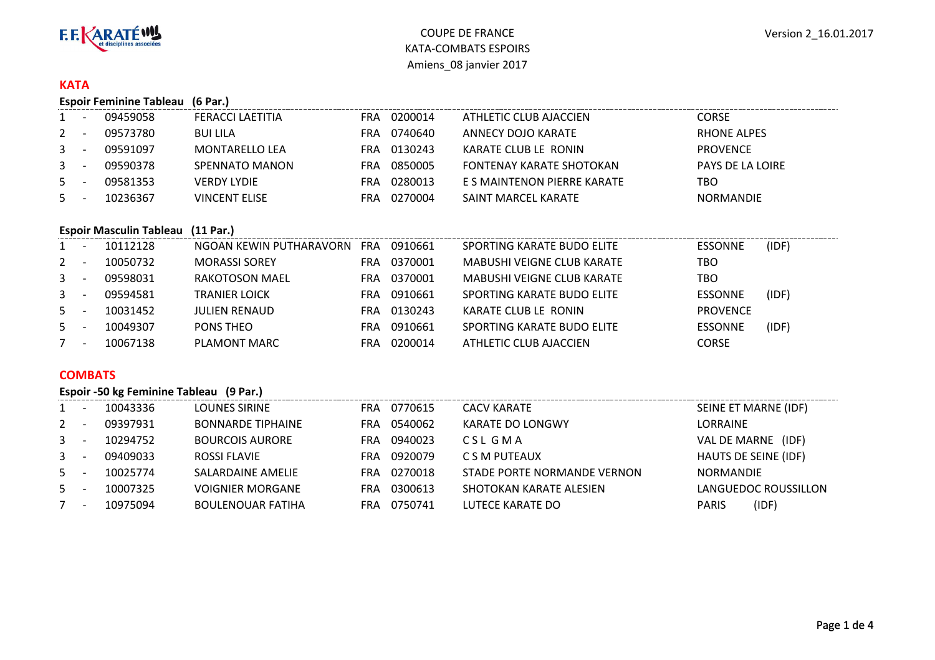

#### **KATA**

|                | <b>Espoir Feminine Tableau</b><br>(6 Par.) |          |                       |            |         |                             |                         |  |  |  |  |  |
|----------------|--------------------------------------------|----------|-----------------------|------------|---------|-----------------------------|-------------------------|--|--|--|--|--|
| $1 \quad$      |                                            | 09459058 | FERACCI LAETITIA      | <b>FRA</b> | 0200014 | ATHLETIC CLUB AJACCIEN      | <b>CORSE</b>            |  |  |  |  |  |
| 2              |                                            | 09573780 | <b>BUI LILA</b>       | FRA        | 0740640 | ANNECY DOJO KARATE          | <b>RHONE ALPES</b>      |  |  |  |  |  |
| 3 <sup>7</sup> |                                            | 09591097 | <b>MONTARELLO LEA</b> | FRA        | 0130243 | KARATE CLUB LE RONIN        | <b>PROVENCE</b>         |  |  |  |  |  |
| $\mathbf{3}$   |                                            | 09590378 | SPENNATO MANON        | FRA        | 0850005 | FONTENAY KARATE SHOTOKAN    | <b>PAYS DE LA LOIRE</b> |  |  |  |  |  |
| 5              |                                            | 09581353 | <b>VERDY LYDIE</b>    | FRA        | 0280013 | E S MAINTENON PIERRE KARATE | TBO                     |  |  |  |  |  |
| 5              |                                            | 10236367 | <b>VINCENT ELISE</b>  | FRA        | 0270004 | SAINT MARCEL KARATE         | <b>NORMANDIE</b>        |  |  |  |  |  |
|                |                                            |          |                       |            |         |                             |                         |  |  |  |  |  |

### **Espoir Masculin Tableau (11 Par.)**

|    |          | 10112128 | NGOAN KEWIN PUTHARAVORN | <b>FRA</b> | 0910661 | SPORTING KARATE BUDO ELITE        | <b>ESSONNE</b>  | (IDF) |
|----|----------|----------|-------------------------|------------|---------|-----------------------------------|-----------------|-------|
| 2  |          | 10050732 | <b>MORASSI SOREY</b>    | FRA        | 0370001 | <b>MABUSHI VEIGNE CLUB KARATE</b> | TBO             |       |
| 3  |          | 09598031 | RAKOTOSON MAEL          | FRA        | 0370001 | <b>MABUSHI VEIGNE CLUB KARATE</b> | TBO             |       |
| 3  | <b>.</b> | 09594581 | <b>TRANIER LOICK</b>    | FRA        | 0910661 | SPORTING KARATE BUDO ELITE        | <b>ESSONNE</b>  | (IDF) |
| 5  |          | 10031452 | <b>JULIEN RENAUD</b>    | FRA        | 0130243 | KARATE CLUB LE RONIN              | <b>PROVENCE</b> |       |
| 5. |          | 10049307 | PONS THEO               | FRA        | 0910661 | SPORTING KARATE BUDO ELITE        | <b>ESSONNE</b>  | (IDF) |
|    |          | 10067138 | PLAMONT MARC            | FRA        | 0200014 | ATHLETIC CLUB AJACCIEN            | <b>CORSE</b>    |       |

# **COMBATS**

|                | Espoir -50 kg Feminine Tableau (9 Par.) |          |                          |                |                             |                       |  |  |  |  |  |  |
|----------------|-----------------------------------------|----------|--------------------------|----------------|-----------------------------|-----------------------|--|--|--|--|--|--|
| $1 \quad$      |                                         | 10043336 | LOUNES SIRINE            | 0770615<br>FRA | <b>CACV KARATE</b>          | SEINE ET MARNE (IDF)  |  |  |  |  |  |  |
| $2^{\circ}$    |                                         | 09397931 | <b>BONNARDE TIPHAINE</b> | 0540062<br>FRA | KARATE DO LONGWY            | LORRAINE              |  |  |  |  |  |  |
| 3 <sup>1</sup> |                                         | 10294752 | <b>BOURCOIS AURORE</b>   | 0940023<br>FRA | CSL GMA                     | VAL DE MARNE<br>(IDF) |  |  |  |  |  |  |
| $3 -$          |                                         | 09409033 | ROSSI FLAVIE             | 0920079<br>FRA | C S M PUTEAUX               | HAUTS DE SEINE (IDF)  |  |  |  |  |  |  |
| 5              |                                         | 10025774 | SALARDAINE AMELIE        | 0270018<br>FRA | STADE PORTE NORMANDE VERNON | <b>NORMANDIE</b>      |  |  |  |  |  |  |
| 5              |                                         | 10007325 | VOIGNIER MORGANE         | 0300613<br>FRA | SHOTOKAN KARATE ALESIEN     | LANGUEDOC ROUSSILLON  |  |  |  |  |  |  |
|                |                                         | 10975094 | <b>BOULENOUAR FATIHA</b> | 0750741<br>FRA | LUTECE KARATE DO            | (IDF)<br><b>PARIS</b> |  |  |  |  |  |  |
|                |                                         |          |                          |                |                             |                       |  |  |  |  |  |  |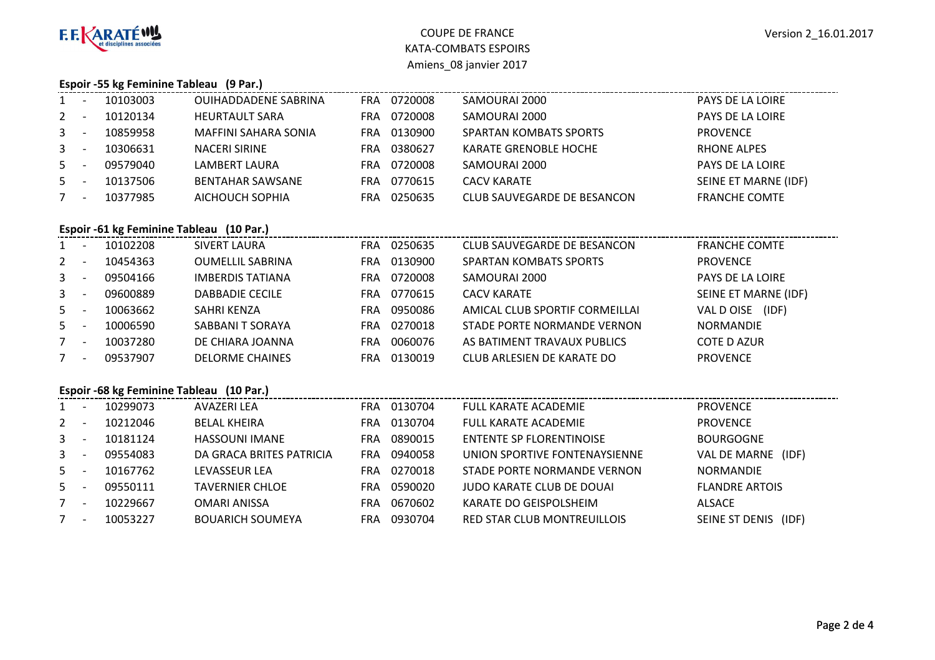

# COUPE DE FRANCE KATA-COMBATS ESPOIRSAmiens\_08 janvier 2017

#### **Espoir -55 kg Feminine Tableau (9 Par.)**

| $1 -$       |                          | 10103003 | <b>OUIHADDADENE SABRINA</b> | <b>FRA</b> | 0720008 | SAMOURAI 2000                 | PAYS DE LA LOIRE        |
|-------------|--------------------------|----------|-----------------------------|------------|---------|-------------------------------|-------------------------|
| $2^{\circ}$ |                          | 10120134 | <b>HEURTAULT SARA</b>       | FRA        | 0720008 | SAMOURAI 2000                 | <b>PAYS DE LA LOIRE</b> |
| $3^{\circ}$ | $\overline{\phantom{a}}$ | 10859958 | MAFFINI SAHARA SONIA        | <b>FRA</b> | 0130900 | <b>SPARTAN KOMBATS SPORTS</b> | <b>PROVENCE</b>         |
| $3^{\circ}$ | $\overline{\phantom{a}}$ | 10306631 | <b>NACERI SIRINE</b>        | FRA        | 0380627 | <b>KARATE GRENOBLE HOCHE</b>  | <b>RHONE ALPES</b>      |
| $5 -$       |                          | 09579040 | LAMBERT LAURA               | <b>FRA</b> | 0720008 | SAMOURAI 2000                 | <b>PAYS DE LA LOIRE</b> |
| 5           | <b>.</b>                 | 10137506 | <b>BENTAHAR SAWSANE</b>     | <b>FRA</b> | 0770615 | <b>CACV KARATE</b>            | SEINE ET MARNE (IDF)    |
|             | $\overline{\phantom{a}}$ | 10377985 | AICHOUCH SOPHIA             | FRA        | 0250635 | CLUB SAUVEGARDE DE BESANCON   | <b>FRANCHE COMTE</b>    |
|             |                          |          |                             |            |         |                               |                         |

# **Espoir -61 kg Feminine Tableau (10 Par.)**

| $1 \quad$      | - -                      | 10102208 | SIVERT LAURA            | FRA | 0250635 | CLUB SAUVEGARDE DE BESANCON    | <b>FRANCHE COMTE</b> |
|----------------|--------------------------|----------|-------------------------|-----|---------|--------------------------------|----------------------|
| $2^{\circ}$    | - -                      | 10454363 | <b>OUMELLIL SABRINA</b> | FRA | 0130900 | <b>SPARTAN KOMBATS SPORTS</b>  | <b>PROVENCE</b>      |
| 3 <sup>7</sup> | - -                      | 09504166 | <b>IMBERDIS TATIANA</b> | FRA | 0720008 | SAMOURAI 2000                  | PAYS DE LA LOIRE     |
| 3              | $\overline{\phantom{a}}$ | 09600889 | DABBADIE CECILE         | FRA | 0770615 | CACV KARATE                    | SEINE ET MARNE (IDF) |
| $5 -$          |                          | 10063662 | SAHRI KENZA             | FRA | 0950086 | AMICAL CLUB SPORTIF CORMEILLAI | (IDF)<br>VAL D OISE  |
| $5 -$          |                          | 10006590 | SABBANI T SORAYA        | FRA | 0270018 | STADE PORTE NORMANDE VERNON    | <b>NORMANDIE</b>     |
| $7^{\circ}$    | . .                      | 10037280 | DE CHIARA JOANNA        | FRA | 0060076 | AS BATIMENT TRAVAUX PUBLICS    | <b>COTE D AZUR</b>   |
|                | <b>.</b>                 | 09537907 | <b>DELORME CHAINES</b>  | FRA | 0130019 | CLUB ARLESIEN DE KARATE DO     | <b>PROVENCE</b>      |

### **Espoir -68 kg Feminine Tableau (10 Par.)**

| $\mathbf{1}$   | 10299073 | AVAZERI LEA              | FRA | 0130704 | <b>FULL KARATE ACADEMIE</b>      | <b>PROVENCE</b>         |
|----------------|----------|--------------------------|-----|---------|----------------------------------|-------------------------|
| 2              | 10212046 | <b>BELAL KHEIRA</b>      | FRA | 0130704 | <b>FULL KARATE ACADEMIE</b>      | <b>PROVENCE</b>         |
| 3 <sup>1</sup> | 10181124 | <b>HASSOUNI IMANE</b>    | FRA | 0890015 | <b>ENTENTE SP FLORENTINOISE</b>  | <b>BOURGOGNE</b>        |
| 3 <sup>1</sup> | 09554083 | DA GRACA BRITES PATRICIA | FRA | 0940058 | UNION SPORTIVE FONTENAYSIENNE    | VAL DE MARNE<br>(IDF)   |
| 5              | 10167762 | LEVASSEUR LEA            | FRA | 0270018 | STADE PORTE NORMANDE VERNON      | <b>NORMANDIE</b>        |
| 5              | 09550111 | <b>TAVERNIER CHLOE</b>   | FRA | 0590020 | <b>JUDO KARATE CLUB DE DOUAI</b> | <b>FLANDRE ARTOIS</b>   |
| 7              | 10229667 | <b>OMARI ANISSA</b>      | FRA | 0670602 | KARATE DO GEISPOLSHEIM           | <b>ALSACE</b>           |
|                | 10053227 | <b>BOUARICH SOUMEYA</b>  | FRA | 0930704 | RED STAR CLUB MONTREUILLOIS      | SEINE ST DENIS<br>(IDF) |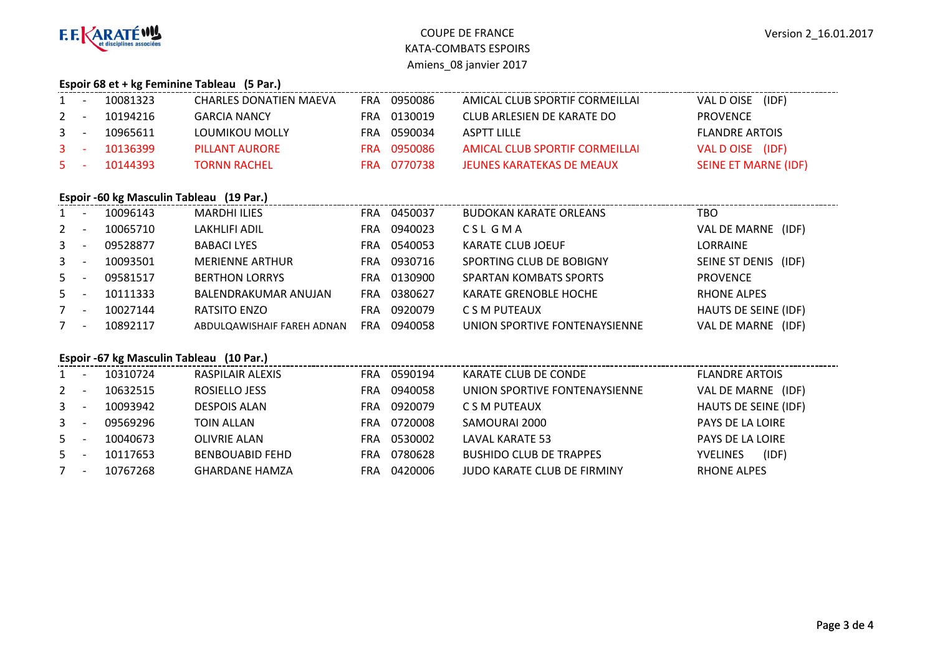

# COUPE DE FRANCE KATA-COMBATS ESPOIRSAmiens\_08 janvier 2017

#### **Espoir 68 et + kg Feminine Tableau (5 Par.)**

| $1 -$   | 10081323 | CHARLES DONATIEN MAEVA | FRA | 0950086     | AMICAL CLUB SPORTIF CORMEILLAI | VAL D OISE (IDF)            |
|---------|----------|------------------------|-----|-------------|--------------------------------|-----------------------------|
| $2 -$   | 10194216 | <b>GARCIA NANCY</b>    |     | FRA 0130019 | CLUB ARLESIEN DE KARATE DO     | <b>PROVENCE</b>             |
| $3 -$   | 10965611 | LOUMIKOU MOLLY         | FRA | 0590034     | ASPTT LILLE                    | <b>FLANDRE ARTOIS</b>       |
| $3 - 5$ | 10136399 | PILLANT AURORE         |     | FRA 0950086 | AMICAL CLUB SPORTIF CORMEILLAI | VAL DOISE (IDF)             |
| $5 - 1$ | 10144393 | <b>TORNN RACHEL</b>    |     | FRA 0770738 | JEUNES KARATEKAS DE MEAUX      | <b>SEINE ET MARNE (IDF)</b> |
|         |          |                        |     |             |                                |                             |

#### **Espoir -60 kg Masculin Tableau (19 Par.)**

| 1              | $\overline{\phantom{a}}$ | 10096143 | <b>MARDHI ILIES</b>        | <b>FRA</b> | 0450037 | <b>BUDOKAN KARATE ORLEANS</b> | TBO                  |
|----------------|--------------------------|----------|----------------------------|------------|---------|-------------------------------|----------------------|
| $2^{\circ}$    |                          | 10065710 | <b>LAKHLIFI ADIL</b>       | FRA        | 0940023 | CSL GMA                       | VAL DE MARNE (IDF)   |
| $3 -$          |                          | 09528877 | <b>BABACI LYES</b>         | <b>FRA</b> | 0540053 | <b>KARATE CLUB JOEUF</b>      | LORRAINE             |
| 3 <sup>7</sup> |                          | 10093501 | <b>MERIENNE ARTHUR</b>     | FRA        | 0930716 | SPORTING CLUB DE BOBIGNY      | SEINE ST DENIS (IDF) |
| $5 -$          |                          | 09581517 | <b>BERTHON LORRYS</b>      | <b>FRA</b> | 0130900 | <b>SPARTAN KOMBATS SPORTS</b> | <b>PROVENCE</b>      |
| $5 -$          |                          | 10111333 | BALENDRAKUMAR ANUJAN       | <b>FRA</b> | 0380627 | <b>KARATE GRENOBLE HOCHE</b>  | <b>RHONE ALPES</b>   |
|                | $\overline{\phantom{a}}$ | 10027144 | RATSITO ENZO               | <b>FRA</b> | 0920079 | C S M PUTEAUX                 | HAUTS DE SEINE (IDF) |
| 7              |                          | 10892117 | ABDULQAWISHAIF FAREH ADNAN | <b>FRA</b> | 0940058 | UNION SPORTIVE FONTENAYSIENNE | VAL DE MARNE (IDF)   |

#### **Espoir -67 kg Masculin Tableau (10 Par.)**

| $\mathbf{1}$ |                          | 10310724 | RASPILAIR ALEXIS       | <b>FRA</b> | 0590194 | KARATE CLUB DE CONDE           | <b>FLANDRE ARTOIS</b>    |
|--------------|--------------------------|----------|------------------------|------------|---------|--------------------------------|--------------------------|
| $2^{\circ}$  |                          | 10632515 | ROSIELLO JESS          | <b>FRA</b> | 0940058 | UNION SPORTIVE FONTENAYSIENNE  | VAL DE MARNE (IDF)       |
| $3 -$        |                          | 10093942 | <b>DESPOIS ALAN</b>    | FRA        | 0920079 | C S M PUTEAUX                  | HAUTS DE SEINE (IDF)     |
| $3 -$        |                          | 09569296 | <b>TOIN ALLAN</b>      | FRA        | 0720008 | SAMOURAI 2000                  | PAYS DE LA LOIRE         |
| $5 -$        |                          | 10040673 | <b>OLIVRIE ALAN</b>    | <b>FRA</b> | 0530002 | <b>LAVAL KARATE 53</b>         | PAYS DE LA LOIRE         |
| 5            |                          | 10117653 | <b>BENBOUABID FEHD</b> | <b>FRA</b> | 0780628 | <b>BUSHIDO CLUB DE TRAPPES</b> | (IDF)<br><b>YVELINES</b> |
|              | $\overline{\phantom{a}}$ | 10767268 | <b>GHARDANE HAMZA</b>  | <b>FRA</b> | 0420006 | JUDO KARATE CLUB DE FIRMINY    | <b>RHONE ALPES</b>       |